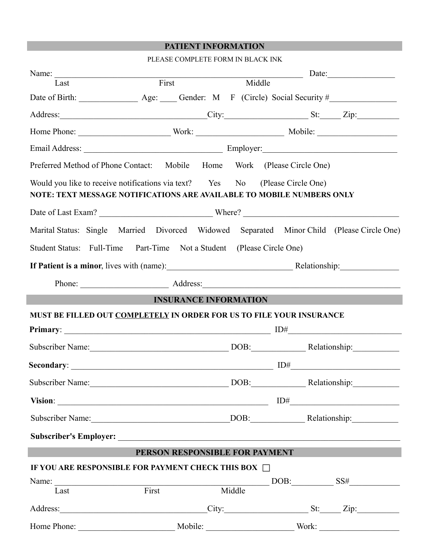# **PATIENT INFORMATION**

|                                                                       | PLEASE COMPLETE FORM IN BLACK INK                                                                                                                     |        |  |  |            |  |
|-----------------------------------------------------------------------|-------------------------------------------------------------------------------------------------------------------------------------------------------|--------|--|--|------------|--|
|                                                                       | Name: Last First Middle Date:                                                                                                                         |        |  |  |            |  |
|                                                                       |                                                                                                                                                       |        |  |  |            |  |
|                                                                       |                                                                                                                                                       |        |  |  |            |  |
|                                                                       | Address: City: City: St: Zip:                                                                                                                         |        |  |  |            |  |
|                                                                       |                                                                                                                                                       |        |  |  |            |  |
|                                                                       |                                                                                                                                                       |        |  |  |            |  |
|                                                                       | Preferred Method of Phone Contact: Mobile Home Work (Please Circle One)                                                                               |        |  |  |            |  |
|                                                                       | Would you like to receive notifications via text? Yes No (Please Circle One)<br>NOTE: TEXT MESSAGE NOTIFICATIONS ARE AVAILABLE TO MOBILE NUMBERS ONLY |        |  |  |            |  |
|                                                                       |                                                                                                                                                       |        |  |  |            |  |
|                                                                       | Marital Status: Single Married Divorced Widowed Separated Minor Child (Please Circle One)                                                             |        |  |  |            |  |
|                                                                       | Student Status: Full-Time Part-Time Not a Student (Please Circle One)                                                                                 |        |  |  |            |  |
| If Patient is a minor, lives with (name): Relationship: Relationship: |                                                                                                                                                       |        |  |  |            |  |
|                                                                       |                                                                                                                                                       |        |  |  |            |  |
|                                                                       | <b>INSURANCE INFORMATION</b>                                                                                                                          |        |  |  |            |  |
|                                                                       | MUST BE FILLED OUT COMPLETELY IN ORDER FOR US TO FILE YOUR INSURANCE                                                                                  |        |  |  |            |  |
|                                                                       |                                                                                                                                                       |        |  |  |            |  |
|                                                                       | Subscriber Name: DOB: Relationship: Relationship:                                                                                                     |        |  |  |            |  |
|                                                                       | Secondary: $\qquad \qquad \qquad$ ID#                                                                                                                 |        |  |  |            |  |
|                                                                       | Subscriber Name: DOB: Relationship: Relationship:                                                                                                     |        |  |  |            |  |
|                                                                       |                                                                                                                                                       |        |  |  | $ID# \_$   |  |
|                                                                       |                                                                                                                                                       |        |  |  |            |  |
|                                                                       |                                                                                                                                                       |        |  |  |            |  |
|                                                                       | PERSON RESPONSIBLE FOR PAYMENT                                                                                                                        |        |  |  |            |  |
|                                                                       | IF YOU ARE RESPONSIBLE FOR PAYMENT CHECK THIS BOX $\Box$                                                                                              |        |  |  |            |  |
|                                                                       |                                                                                                                                                       |        |  |  | $DOB:$ SS# |  |
|                                                                       | Name: Last First                                                                                                                                      | Middle |  |  |            |  |
|                                                                       | Address: City: City: St: Zip:                                                                                                                         |        |  |  |            |  |
|                                                                       |                                                                                                                                                       |        |  |  |            |  |